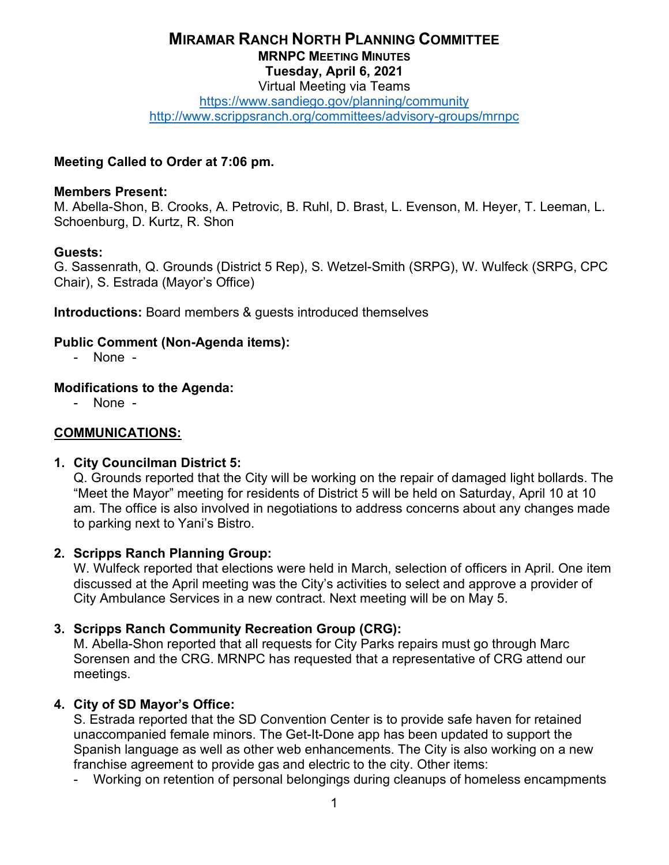## **MIRAMAR RANCH NORTH PLANNING COMMITTEE MRNPC MEETING MINUTES Tuesday, April 6, 2021** Virtual Meeting via Teams

<https://www.sandiego.gov/planning/community>

<http://www.scrippsranch.org/committees/advisory-groups/mrnpc>

## **Meeting Called to Order at 7:06 pm.**

#### **Members Present:**

M. Abella-Shon, B. Crooks, A. Petrovic, B. Ruhl, D. Brast, L. Evenson, M. Heyer, T. Leeman, L. Schoenburg, D. Kurtz, R. Shon

### **Guests:**

G. Sassenrath, Q. Grounds (District 5 Rep), S. Wetzel-Smith (SRPG), W. Wulfeck (SRPG, CPC Chair), S. Estrada (Mayor's Office)

**Introductions:** Board members & guests introduced themselves

### **Public Comment (Non-Agenda items):**

- None -

### **Modifications to the Agenda:**

- None -

### **COMMUNICATIONS:**

### **1. City Councilman District 5:**

Q. Grounds reported that the City will be working on the repair of damaged light bollards. The "Meet the Mayor" meeting for residents of District 5 will be held on Saturday, April 10 at 10 am. The office is also involved in negotiations to address concerns about any changes made to parking next to Yani's Bistro.

### **2. Scripps Ranch Planning Group:**

W. Wulfeck reported that elections were held in March, selection of officers in April. One item discussed at the April meeting was the City's activities to select and approve a provider of City Ambulance Services in a new contract. Next meeting will be on May 5.

### **3. Scripps Ranch Community Recreation Group (CRG):**

M. Abella-Shon reported that all requests for City Parks repairs must go through Marc Sorensen and the CRG. MRNPC has requested that a representative of CRG attend our meetings.

### **4. City of SD Mayor's Office:**

S. Estrada reported that the SD Convention Center is to provide safe haven for retained unaccompanied female minors. The Get-It-Done app has been updated to support the Spanish language as well as other web enhancements. The City is also working on a new franchise agreement to provide gas and electric to the city. Other items:

- Working on retention of personal belongings during cleanups of homeless encampments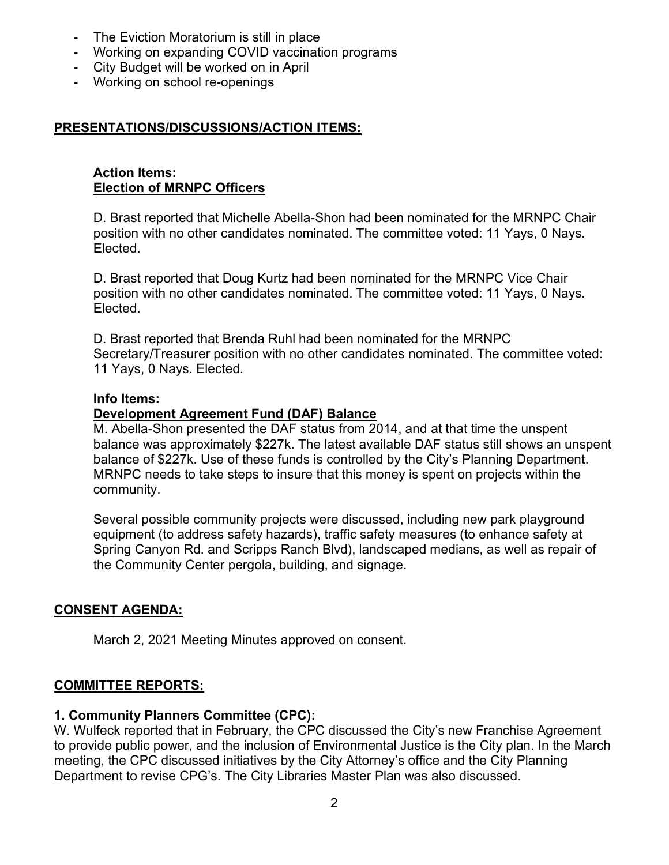- The Eviction Moratorium is still in place
- Working on expanding COVID vaccination programs
- City Budget will be worked on in April
- Working on school re-openings

## **PRESENTATIONS/DISCUSSIONS/ACTION ITEMS:**

#### **Action Items: Election of MRNPC Officers**

D. Brast reported that Michelle Abella-Shon had been nominated for the MRNPC Chair position with no other candidates nominated. The committee voted: 11 Yays, 0 Nays. Elected.

D. Brast reported that Doug Kurtz had been nominated for the MRNPC Vice Chair position with no other candidates nominated. The committee voted: 11 Yays, 0 Nays. Elected.

D. Brast reported that Brenda Ruhl had been nominated for the MRNPC Secretary/Treasurer position with no other candidates nominated. The committee voted: 11 Yays, 0 Nays. Elected.

### **Info Items:**

## **Development Agreement Fund (DAF) Balance**

M. Abella-Shon presented the DAF status from 2014, and at that time the unspent balance was approximately \$227k. The latest available DAF status still shows an unspent balance of \$227k. Use of these funds is controlled by the City's Planning Department. MRNPC needs to take steps to insure that this money is spent on projects within the community.

Several possible community projects were discussed, including new park playground equipment (to address safety hazards), traffic safety measures (to enhance safety at Spring Canyon Rd. and Scripps Ranch Blvd), landscaped medians, as well as repair of the Community Center pergola, building, and signage.

# **CONSENT AGENDA:**

March 2, 2021 Meeting Minutes approved on consent.

## **COMMITTEE REPORTS:**

### **1. Community Planners Committee (CPC):**

W. Wulfeck reported that in February, the CPC discussed the City's new Franchise Agreement to provide public power, and the inclusion of Environmental Justice is the City plan. In the March meeting, the CPC discussed initiatives by the City Attorney's office and the City Planning Department to revise CPG's. The City Libraries Master Plan was also discussed.